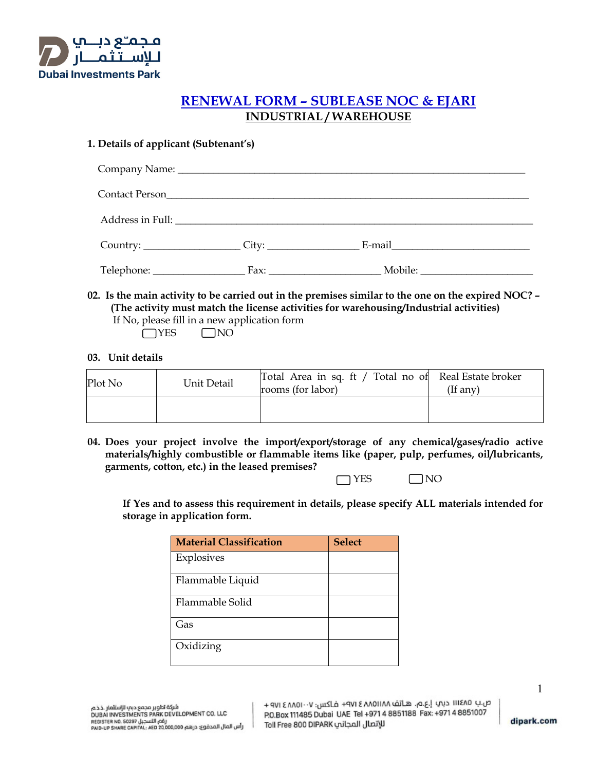

## **RENEWAL FORM – SUBLEASE NOC & EJARI INDUSTRIAL / WAREHOUSE**

## **1. Details of applicant (Subtenant's)**

| Contact Person          |                                                                                                                |  |
|-------------------------|----------------------------------------------------------------------------------------------------------------|--|
|                         |                                                                                                                |  |
| Country: Country: City: | E-mail explorer and the second services of the services of the services of the services of the services of the |  |
|                         | Fax: Mobile: Mobile:                                                                                           |  |

**02. Is the main activity to be carried out in the premises similar to the one on the expired NOC? – (The activity must match the license activities for warehousing/Industrial activities)**  If No, please fill in a new application form

 $\Box$ YES  $\Box$ NO

## **03. Unit details**

| Plot No | Unit Detail | Total Area in sq. ft / Total no of Real Estate broker<br>rooms (for labor) | $($ If any $)$ |
|---------|-------------|----------------------------------------------------------------------------|----------------|
|         |             |                                                                            |                |

**04. Does your project involve the import/export/storage of any chemical/gases/radio active materials/highly combustible or flammable items like (paper, pulp, perfumes, oil/lubricants, garments, cotton, etc.) in the leased premises?** 

NO NES NO

**If Yes and to assess this requirement in details, please specify ALL materials intended for storage in application form.** 

| <b>Material Classification</b> | <b>Select</b> |
|--------------------------------|---------------|
| Explosives                     |               |
| Flammable Liquid               |               |
| Flammable Solid                |               |
| Gas                            |               |
| Oxidizing                      |               |

ص.بِ ١١١٤٨٥ دبِي إ.ع.م. هـاتف ٨٨١١٥٨٨ ٢ ٧١٤ فـاكس: ٧٠٠١٨٨٥١ ٩٧١ + ٩٧١ P.O.Box 111485 Dubai UAE Tel +971 4 8851188 Fax: +971 4 8851007 للإتصال المجانب Toll Free 800 DIPARK